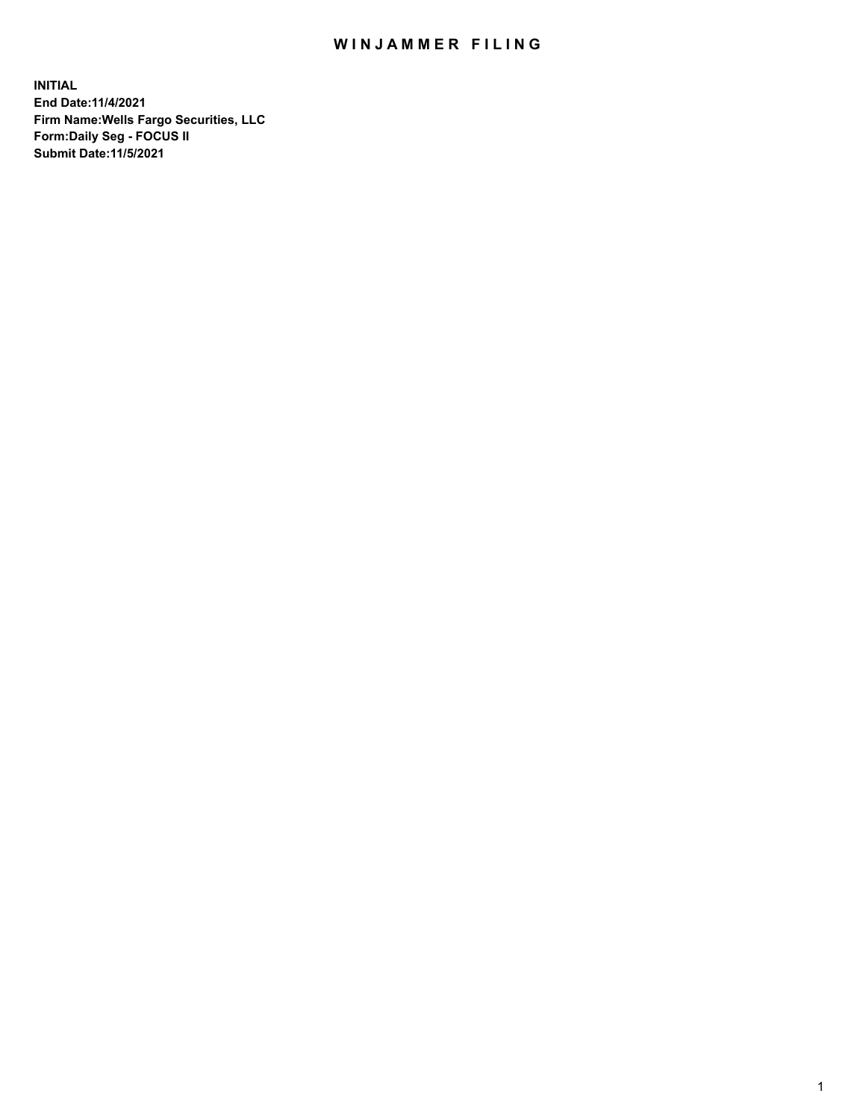## WIN JAMMER FILING

**INITIAL End Date:11/4/2021 Firm Name:Wells Fargo Securities, LLC Form:Daily Seg - FOCUS II Submit Date:11/5/2021**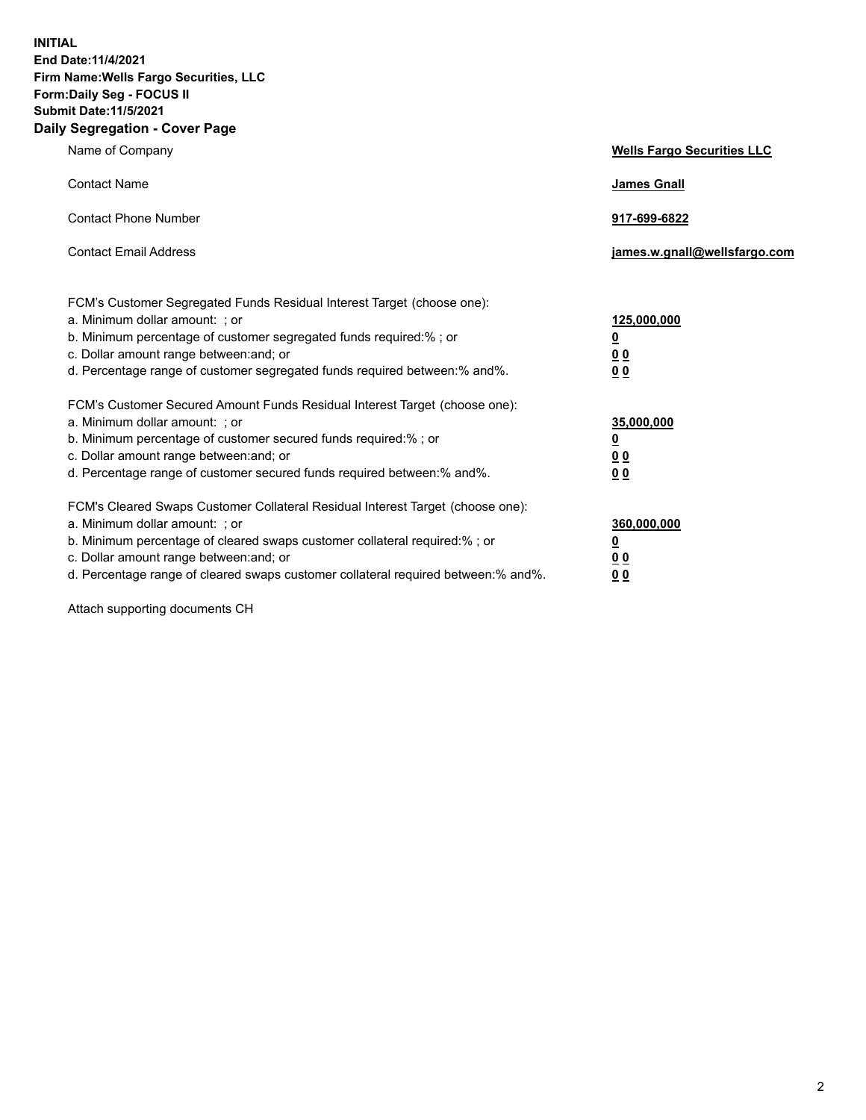**INITIAL End Date:11/4/2021 Firm Name:Wells Fargo Securities, LLC Form:Daily Seg - FOCUS II Submit Date:11/5/2021 Daily Segregation - Cover Page**

| Name of Company                                                                                                                                                                                                                                                                                                                | <b>Wells Fargo Securities LLC</b>                      |
|--------------------------------------------------------------------------------------------------------------------------------------------------------------------------------------------------------------------------------------------------------------------------------------------------------------------------------|--------------------------------------------------------|
| <b>Contact Name</b>                                                                                                                                                                                                                                                                                                            | <b>James Gnall</b>                                     |
| <b>Contact Phone Number</b>                                                                                                                                                                                                                                                                                                    | 917-699-6822                                           |
| <b>Contact Email Address</b>                                                                                                                                                                                                                                                                                                   | james.w.gnall@wellsfargo.com                           |
| FCM's Customer Segregated Funds Residual Interest Target (choose one):<br>a. Minimum dollar amount: ; or<br>b. Minimum percentage of customer segregated funds required:% ; or<br>c. Dollar amount range between: and; or<br>d. Percentage range of customer segregated funds required between: % and %.                       | 125,000,000<br><u>0</u><br><u>00</u><br>0 <sub>0</sub> |
| FCM's Customer Secured Amount Funds Residual Interest Target (choose one):<br>a. Minimum dollar amount: ; or<br>b. Minimum percentage of customer secured funds required:%; or<br>c. Dollar amount range between: and; or<br>d. Percentage range of customer secured funds required between: % and %.                          | 35,000,000<br><u>0</u><br>00<br>0 <sub>0</sub>         |
| FCM's Cleared Swaps Customer Collateral Residual Interest Target (choose one):<br>a. Minimum dollar amount: ; or<br>b. Minimum percentage of cleared swaps customer collateral required:% ; or<br>c. Dollar amount range between: and; or<br>d. Percentage range of cleared swaps customer collateral required between:% and%. | 360,000,000<br><u>0</u><br>0 Q<br>00                   |

Attach supporting documents CH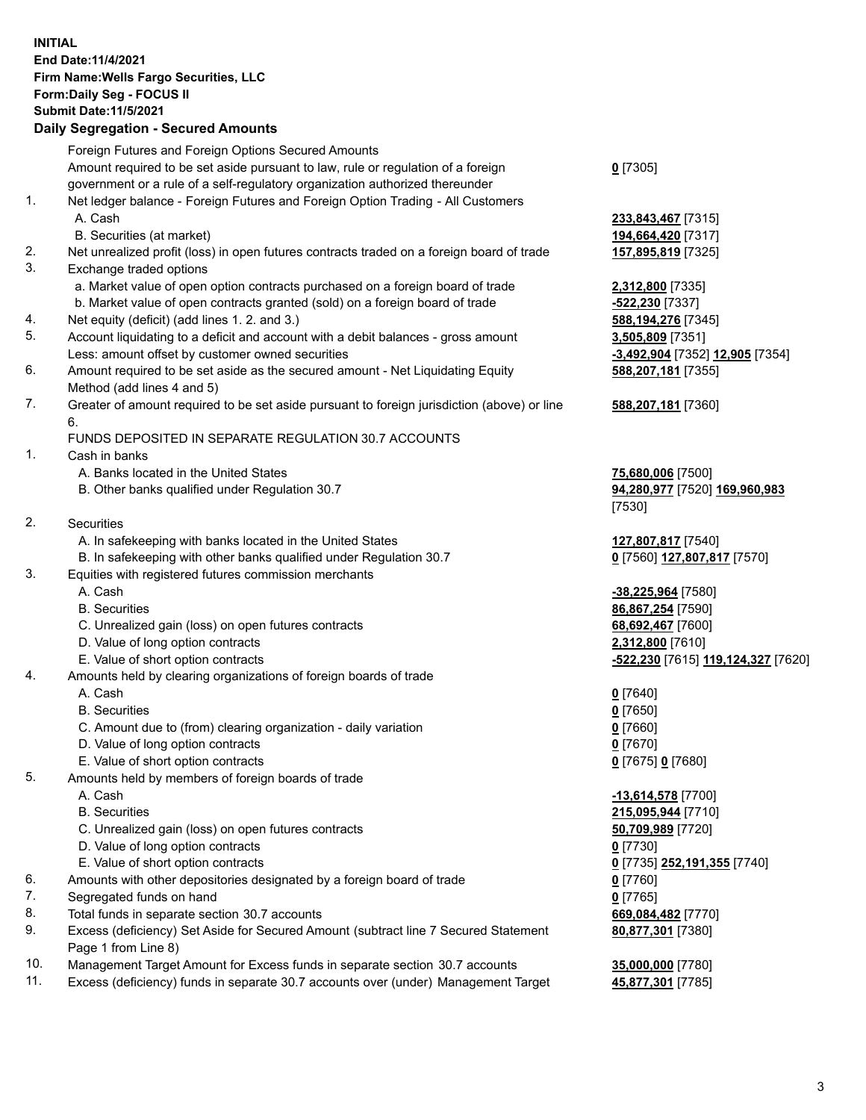**INITIAL End Date:11/4/2021 Firm Name:Wells Fargo Securities, LLC Form:Daily Seg - FOCUS II Submit Date:11/5/2021 Daily Segregation - Secured Amounts**

Foreign Futures and Foreign Options Secured Amounts Amount required to be set aside pursuant to law, rule or regulation of a foreign government or a rule of a self-regulatory organization authorized thereunder **0** [7305] 1. Net ledger balance - Foreign Futures and Foreign Option Trading - All Customers A. Cash **233,843,467** [7315] B. Securities (at market) **194,664,420** [7317] 2. Net unrealized profit (loss) in open futures contracts traded on a foreign board of trade **157,895,819** [7325] 3. Exchange traded options a. Market value of open option contracts purchased on a foreign board of trade **2,312,800** [7335] b. Market value of open contracts granted (sold) on a foreign board of trade **-522,230** [7337] 4. Net equity (deficit) (add lines 1. 2. and 3.) **588,194,276** [7345] 5. Account liquidating to a deficit and account with a debit balances - gross amount **3,505,809** [7351] Less: amount offset by customer owned securities **-3,492,904** [7352] **12,905** [7354] 6. Amount required to be set aside as the secured amount - Net Liquidating Equity Method (add lines 4 and 5) **588,207,181** [7355] 7. Greater of amount required to be set aside pursuant to foreign jurisdiction (above) or line 6. **588,207,181** [7360] FUNDS DEPOSITED IN SEPARATE REGULATION 30.7 ACCOUNTS 1. Cash in banks A. Banks located in the United States **75,680,006** [7500] B. Other banks qualified under Regulation 30.7 **94,280,977** [7520] **169,960,983** [7530] 2. Securities A. In safekeeping with banks located in the United States **127,807,817** [7540] B. In safekeeping with other banks qualified under Regulation 30.7 **0** [7560] **127,807,817** [7570] 3. Equities with registered futures commission merchants A. Cash **-38,225,964** [7580] B. Securities **86,867,254** [7590] C. Unrealized gain (loss) on open futures contracts **68,692,467** [7600] D. Value of long option contracts **2,312,800** [7610] E. Value of short option contracts **-522,230** [7615] **119,124,327** [7620] 4. Amounts held by clearing organizations of foreign boards of trade A. Cash **0** [7640] B. Securities **0** [7650] C. Amount due to (from) clearing organization - daily variation **0** [7660] D. Value of long option contracts **0** [7670] E. Value of short option contracts **0** [7675] **0** [7680] 5. Amounts held by members of foreign boards of trade A. Cash **-13,614,578** [7700] B. Securities **215,095,944** [7710] C. Unrealized gain (loss) on open futures contracts **50,709,989** [7720] D. Value of long option contracts **0** [7730] E. Value of short option contracts **0** [7735] **252,191,355** [7740] 6. Amounts with other depositories designated by a foreign board of trade **0** [7760] 7. Segregated funds on hand **0** [7765] 8. Total funds in separate section 30.7 accounts **669,084,482** [7770] 9. Excess (deficiency) Set Aside for Secured Amount (subtract line 7 Secured Statement Page 1 from Line 8) **80,877,301** [7380] 10. Management Target Amount for Excess funds in separate section 30.7 accounts **35,000,000** [7780] 11. Excess (deficiency) funds in separate 30.7 accounts over (under) Management Target **45,877,301** [7785]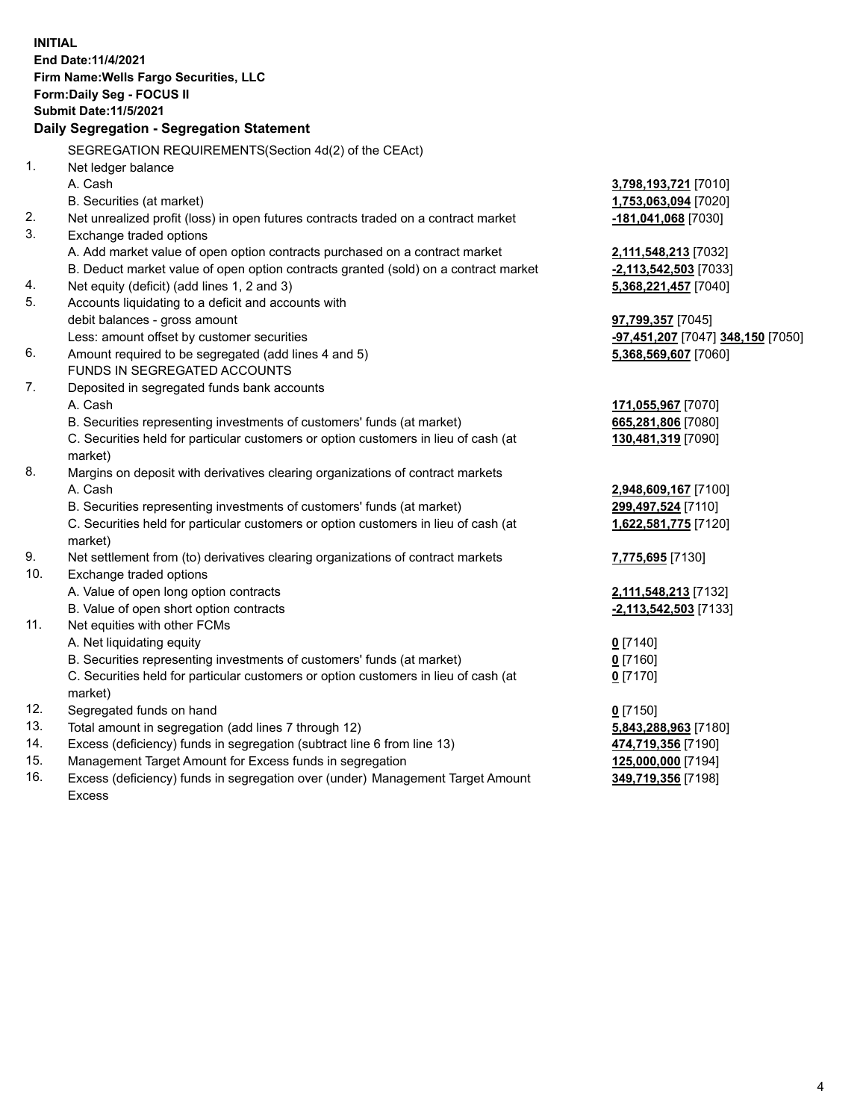**INITIAL End Date:11/4/2021 Firm Name:Wells Fargo Securities, LLC Form:Daily Seg - FOCUS II Submit Date:11/5/2021 Daily Segregation - Segregation Statement** SEGREGATION REQUIREMENTS(Section 4d(2) of the CEAct) 1. Net ledger balance A. Cash **3,798,193,721** [7010] B. Securities (at market) **1,753,063,094** [7020] 2. Net unrealized profit (loss) in open futures contracts traded on a contract market **-181,041,068** [7030] 3. Exchange traded options A. Add market value of open option contracts purchased on a contract market **2,111,548,213** [7032] B. Deduct market value of open option contracts granted (sold) on a contract market **-2,113,542,503** [7033] 4. Net equity (deficit) (add lines 1, 2 and 3) **5,368,221,457** [7040] 5. Accounts liquidating to a deficit and accounts with debit balances - gross amount **97,799,357** [7045] Less: amount offset by customer securities **-97,451,207** [7047] **348,150** [7050] 6. Amount required to be segregated (add lines 4 and 5) **5,368,569,607** [7060] FUNDS IN SEGREGATED ACCOUNTS 7. Deposited in segregated funds bank accounts A. Cash **171,055,967** [7070] B. Securities representing investments of customers' funds (at market) **665,281,806** [7080] C. Securities held for particular customers or option customers in lieu of cash (at market) **130,481,319** [7090] 8. Margins on deposit with derivatives clearing organizations of contract markets A. Cash **2,948,609,167** [7100] B. Securities representing investments of customers' funds (at market) **299,497,524** [7110] C. Securities held for particular customers or option customers in lieu of cash (at market) **1,622,581,775** [7120] 9. Net settlement from (to) derivatives clearing organizations of contract markets **7,775,695** [7130] 10. Exchange traded options A. Value of open long option contracts **2,111,548,213** [7132] B. Value of open short option contracts **-2,113,542,503** [7133] 11. Net equities with other FCMs A. Net liquidating equity **0** [7140] B. Securities representing investments of customers' funds (at market) **0** [7160] C. Securities held for particular customers or option customers in lieu of cash (at market) **0** [7170] 12. Segregated funds on hand **0** [7150] 13. Total amount in segregation (add lines 7 through 12) **5,843,288,963** [7180] 14. Excess (deficiency) funds in segregation (subtract line 6 from line 13) **474,719,356** [7190] 15. Management Target Amount for Excess funds in segregation **125,000,000** [7194] 16. Excess (deficiency) funds in segregation over (under) Management Target Amount **349,719,356** [7198]

Excess